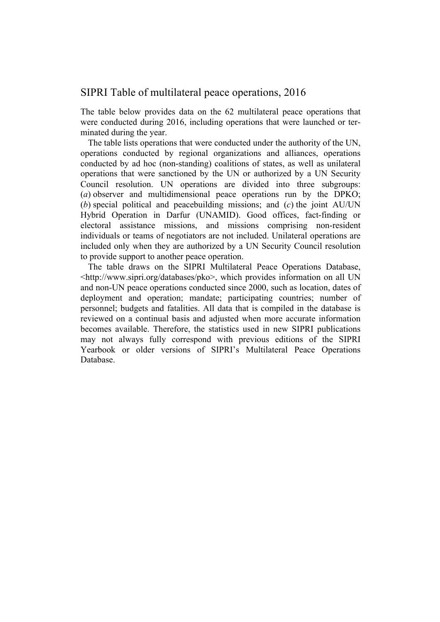## SIPRI Table of multilateral peace operations, 2016

The table below provides data on the 62 multilateral peace operations that were conducted during 2016, including operations that were launched or terminated during the year.

The table lists operations that were conducted under the authority of the UN, operations conducted by regional organizations and alliances, operations conducted by ad hoc (non-standing) coalitions of states, as well as unilateral operations that were sanctioned by the UN or authorized by a UN Security Council resolution. UN operations are divided into three subgroups: (*a*) observer and multidimensional peace operations run by the DPKO; (*b*) special political and peacebuilding missions; and (*c*) the joint AU/UN Hybrid Operation in Darfur (UNAMID). Good offices, fact-finding or electoral assistance missions, and missions comprising non-resident individuals or teams of negotiators are not included. Unilateral operations are included only when they are authorized by a UN Security Council resolution to provide support to another peace operation.

The table draws on the SIPRI Multilateral Peace Operations Database, <http://www.sipri.org/databases/pko>, which provides information on all UN and non-UN peace operations conducted since 2000, such as location, dates of deployment and operation; mandate; participating countries; number of personnel; budgets and fatalities. All data that is compiled in the database is reviewed on a continual basis and adjusted when more accurate information becomes available. Therefore, the statistics used in new SIPRI publications may not always fully correspond with previous editions of the SIPRI Yearbook or older versions of SIPRI's Multilateral Peace Operations Database.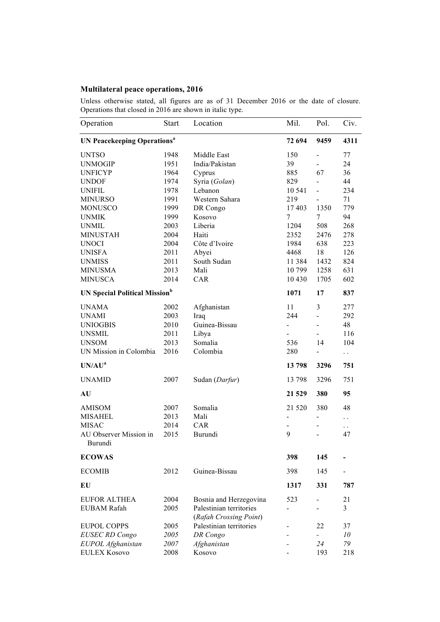## **Multilateral peace operations, 2016**

Unless otherwise stated, all figures are as of 31 December 2016 or the date of closure. Operations that closed in 2016 are shown in italic type.

| Operation                                     | <b>Start</b> | Location                                          | Mil.                     | Pol.                         | Civ.                 |
|-----------------------------------------------|--------------|---------------------------------------------------|--------------------------|------------------------------|----------------------|
| <b>UN Peacekeeping Operations<sup>a</sup></b> | 72 694       | 9459                                              | 4311                     |                              |                      |
| <b>UNTSO</b>                                  | 1948         | Middle East                                       | 150                      | $\frac{1}{2}$                | 77                   |
| <b>UNMOGIP</b>                                | 1951         | India/Pakistan                                    | 39                       | $\blacksquare$               | 24                   |
| <b>UNFICYP</b>                                | 1964         | Cyprus                                            | 885                      | 67                           | 36                   |
| <b>UNDOF</b>                                  | 1974         | Syria (Golan)                                     | 829                      | $\overline{\phantom{0}}$     | 44                   |
| <b>UNIFIL</b>                                 | 1978         | Lebanon                                           | 10 541                   | $\blacksquare$               | 234                  |
| <b>MINURSO</b>                                | 1991         | Western Sahara                                    | 219                      | $\blacksquare$               | 71                   |
| <b>MONUSCO</b>                                | 1999         | DR Congo                                          | 17 403                   | 1350                         | 779                  |
| <b>UNMIK</b>                                  | 1999         | Kosovo                                            | 7                        | 7                            | 94                   |
| <b>UNMIL</b>                                  | 2003         | Liberia                                           | 1204                     | 508                          | 268                  |
| <b>MINUSTAH</b>                               | 2004         | Haiti                                             | 2352                     | 2476                         | 278                  |
| <b>UNOCI</b>                                  | 2004         | Côte d'Ivoire                                     | 1984                     | 638                          | 223                  |
| <b>UNISFA</b>                                 | 2011         | Abyei                                             | 4468                     | 18                           | 126                  |
| <b>UNMISS</b>                                 | 2011         | South Sudan                                       | 11 3 8 4                 | 1432                         | 824                  |
| <b>MINUSMA</b>                                | 2013         | Mali                                              | 10799                    | 1258                         | 631                  |
| <b>MINUSCA</b>                                | 2014         | CAR                                               | 10 4 30                  | 1705                         | 602                  |
| <b>UN Special Political Mission</b> b         | 1071         | 17                                                | 837                      |                              |                      |
| <b>UNAMA</b>                                  | 2002         | Afghanistan                                       | 11                       | 3                            | 277                  |
| <b>UNAMI</b>                                  | 2003         | Iraq                                              | 244                      |                              | 292                  |
| <b>UNIOGBIS</b>                               | 2010         | Guinea-Bissau                                     | $\overline{\phantom{0}}$ |                              | 48                   |
| <b>UNSMIL</b>                                 | 2011         | Libya                                             |                          |                              | 116                  |
| <b>UNSOM</b>                                  | 2013         | Somalia                                           | 536                      | 14                           | 104                  |
| UN Mission in Colombia                        | 2016         | Colombia                                          | 280                      |                              | $\ddot{\phantom{0}}$ |
| UN/AU <sup>a</sup>                            |              |                                                   | 13798                    | 3296                         | 751                  |
| <b>UNAMID</b>                                 | 2007         | Sudan (Darfur)                                    | 13 798                   | 3296                         | 751                  |
| AU                                            |              |                                                   | 21 5 29                  | 380                          | 95                   |
| <b>AMISOM</b>                                 | 2007         | Somalia                                           | 21 5 20                  | 380                          | 48                   |
| <b>MISAHEL</b>                                | 2013         | Mali                                              |                          | $\qquad \qquad \blacksquare$ | $\ddot{\phantom{0}}$ |
| <b>MISAC</b>                                  | 2014         | CAR                                               |                          |                              | $\ddot{\phantom{0}}$ |
| AU Observer Mission in<br>Burundi             | 2015         | Burundi                                           | 9                        | -                            | 47                   |
| <b>ECOWAS</b>                                 |              |                                                   | 398                      | 145                          |                      |
| <b>ECOMIB</b>                                 | 2012         | Guinea-Bissau                                     | 398                      | 145                          |                      |
| EU                                            |              |                                                   | 1317                     | 331                          | 787                  |
| <b>EUFOR ALTHEA</b>                           | 2004         | Bosnia and Herzegovina                            | 523                      |                              | 21                   |
| <b>EUBAM Rafah</b>                            | 2005         | Palestinian territories<br>(Rafah Crossing Point) |                          |                              | 3                    |
| <b>EUPOL COPPS</b>                            | 2005         | Palestinian territories                           |                          | 22                           | 37                   |
| <b>EUSEC RD Congo</b>                         | 2005         | DR Congo                                          |                          |                              | 10                   |
| EUPOL Afghanistan                             | 2007         | Afghanistan                                       |                          | 24                           | 79                   |
| <b>EULEX Kosovo</b>                           | 2008         | Kosovo                                            |                          | 193                          | 218                  |
|                                               |              |                                                   |                          |                              |                      |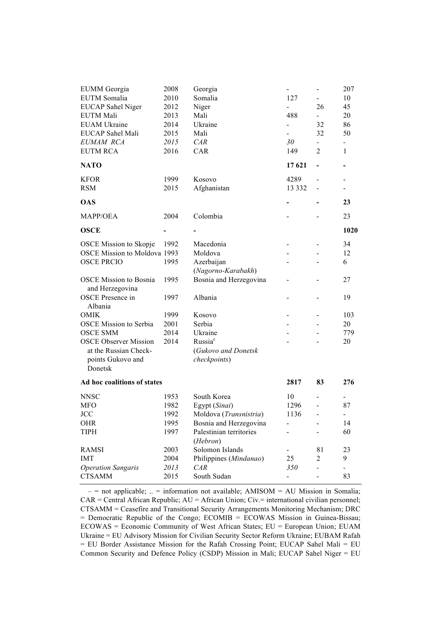| 2010<br>L.<br>Niger<br>26<br>45<br><b>EUCAP</b> Sahel Niger<br>2012<br>Mali<br>488<br>EUTM Mali<br>2013<br>20<br>$\overline{\phantom{0}}$<br><b>EUAM Ukraine</b><br>Ukraine<br>32<br>86<br>2014<br>$\blacksquare$<br><b>EUCAP</b> Sahel Mali<br>32<br>50<br>2015<br>Mali<br>EUMAM RCA<br>CAR<br>30<br>2015<br>$\overline{2}$<br><b>EUTM RCA</b><br>CAR<br>149<br>$\mathbf{1}$<br>2016<br><b>NATO</b><br>17 621<br>$\overline{\phantom{0}}$<br>1999<br><b>KFOR</b><br>Kosovo<br>4289<br>$\overline{\phantom{0}}$<br><b>RSM</b><br>2015<br>Afghanistan<br>13 3 3 2<br>$\overline{\phantom{a}}$<br>$\overline{\phantom{0}}$<br><b>OAS</b><br>23<br>Colombia<br><b>MAPP/OEA</b><br>2004<br>23<br>1020<br><b>OSCE</b><br>1992<br>34<br><b>OSCE</b> Mission to Skopje<br>Macedonia<br><b>OSCE Mission to Moldova 1993</b><br>Moldova<br>12<br><b>OSCE PRCIO</b><br>1995<br>Azerbaijan<br>6<br>(Nagorno-Karabakh)<br><b>OSCE Mission to Bosnia</b><br>1995<br>Bosnia and Herzegovina<br>27<br>and Herzegovina<br><b>OSCE</b> Presence in<br>Albania<br>1997<br>19<br>Albania<br>Kosovo<br><b>OMIK</b><br>1999<br>103<br><b>OSCE Mission to Serbia</b><br>2001<br>Serbia<br>20<br><b>OSCE SMM</b><br>2014<br>Ukraine<br>779<br>Russia <sup>c</sup><br><b>OSCE Observer Mission</b><br>2014<br>20<br>at the Russian Check-<br>(Gukovo and Donetsk<br>checkpoints)<br>points Gukovo and<br>Donetsk<br>Ad hoc coalitions of states<br>2817<br>83<br>276<br>South Korea<br><b>NNSC</b><br>1953<br>10<br>Ξ.<br>1982<br>MFO<br>Egypt (Sinai)<br>1296<br>87<br>$\frac{1}{2}$<br>JCC<br>1992<br>Moldova (Transnistria)<br>1136<br>$\overline{\phantom{a}}$<br>Bosnia and Herzegovina<br>1995<br>14<br>OHR<br><b>TIPH</b><br>1997<br>Palestinian territories<br>60<br>(Hebron)<br>Solomon Islands<br><b>RAMSI</b><br>2003<br>81<br>23<br><b>IMT</b><br>Philippines (Mindanao)<br>25<br>9<br>2004<br>2<br><b>Operation Sangaris</b><br>2013<br>CAR<br>350<br>$\overline{\phantom{0}}$<br><b>CTSAMM</b><br>2015<br>South Sudan<br>83 | <b>EUMM</b> Georgia | 2008 | Georgia |     | 207 |
|-------------------------------------------------------------------------------------------------------------------------------------------------------------------------------------------------------------------------------------------------------------------------------------------------------------------------------------------------------------------------------------------------------------------------------------------------------------------------------------------------------------------------------------------------------------------------------------------------------------------------------------------------------------------------------------------------------------------------------------------------------------------------------------------------------------------------------------------------------------------------------------------------------------------------------------------------------------------------------------------------------------------------------------------------------------------------------------------------------------------------------------------------------------------------------------------------------------------------------------------------------------------------------------------------------------------------------------------------------------------------------------------------------------------------------------------------------------------------------------------------------------------------------------------------------------------------------------------------------------------------------------------------------------------------------------------------------------------------------------------------------------------------------------------------------------------------------------------------------------------------------------------------------------------------------------------------------------------------------------------------------------------|---------------------|------|---------|-----|-----|
|                                                                                                                                                                                                                                                                                                                                                                                                                                                                                                                                                                                                                                                                                                                                                                                                                                                                                                                                                                                                                                                                                                                                                                                                                                                                                                                                                                                                                                                                                                                                                                                                                                                                                                                                                                                                                                                                                                                                                                                                                   | <b>EUTM</b> Somalia |      | Somalia | 127 | 10  |
|                                                                                                                                                                                                                                                                                                                                                                                                                                                                                                                                                                                                                                                                                                                                                                                                                                                                                                                                                                                                                                                                                                                                                                                                                                                                                                                                                                                                                                                                                                                                                                                                                                                                                                                                                                                                                                                                                                                                                                                                                   |                     |      |         |     |     |
|                                                                                                                                                                                                                                                                                                                                                                                                                                                                                                                                                                                                                                                                                                                                                                                                                                                                                                                                                                                                                                                                                                                                                                                                                                                                                                                                                                                                                                                                                                                                                                                                                                                                                                                                                                                                                                                                                                                                                                                                                   |                     |      |         |     |     |
|                                                                                                                                                                                                                                                                                                                                                                                                                                                                                                                                                                                                                                                                                                                                                                                                                                                                                                                                                                                                                                                                                                                                                                                                                                                                                                                                                                                                                                                                                                                                                                                                                                                                                                                                                                                                                                                                                                                                                                                                                   |                     |      |         |     |     |
|                                                                                                                                                                                                                                                                                                                                                                                                                                                                                                                                                                                                                                                                                                                                                                                                                                                                                                                                                                                                                                                                                                                                                                                                                                                                                                                                                                                                                                                                                                                                                                                                                                                                                                                                                                                                                                                                                                                                                                                                                   |                     |      |         |     |     |
|                                                                                                                                                                                                                                                                                                                                                                                                                                                                                                                                                                                                                                                                                                                                                                                                                                                                                                                                                                                                                                                                                                                                                                                                                                                                                                                                                                                                                                                                                                                                                                                                                                                                                                                                                                                                                                                                                                                                                                                                                   |                     |      |         |     |     |
|                                                                                                                                                                                                                                                                                                                                                                                                                                                                                                                                                                                                                                                                                                                                                                                                                                                                                                                                                                                                                                                                                                                                                                                                                                                                                                                                                                                                                                                                                                                                                                                                                                                                                                                                                                                                                                                                                                                                                                                                                   |                     |      |         |     |     |
|                                                                                                                                                                                                                                                                                                                                                                                                                                                                                                                                                                                                                                                                                                                                                                                                                                                                                                                                                                                                                                                                                                                                                                                                                                                                                                                                                                                                                                                                                                                                                                                                                                                                                                                                                                                                                                                                                                                                                                                                                   |                     |      |         |     |     |
|                                                                                                                                                                                                                                                                                                                                                                                                                                                                                                                                                                                                                                                                                                                                                                                                                                                                                                                                                                                                                                                                                                                                                                                                                                                                                                                                                                                                                                                                                                                                                                                                                                                                                                                                                                                                                                                                                                                                                                                                                   |                     |      |         |     |     |
|                                                                                                                                                                                                                                                                                                                                                                                                                                                                                                                                                                                                                                                                                                                                                                                                                                                                                                                                                                                                                                                                                                                                                                                                                                                                                                                                                                                                                                                                                                                                                                                                                                                                                                                                                                                                                                                                                                                                                                                                                   |                     |      |         |     |     |
|                                                                                                                                                                                                                                                                                                                                                                                                                                                                                                                                                                                                                                                                                                                                                                                                                                                                                                                                                                                                                                                                                                                                                                                                                                                                                                                                                                                                                                                                                                                                                                                                                                                                                                                                                                                                                                                                                                                                                                                                                   |                     |      |         |     |     |
|                                                                                                                                                                                                                                                                                                                                                                                                                                                                                                                                                                                                                                                                                                                                                                                                                                                                                                                                                                                                                                                                                                                                                                                                                                                                                                                                                                                                                                                                                                                                                                                                                                                                                                                                                                                                                                                                                                                                                                                                                   |                     |      |         |     |     |
|                                                                                                                                                                                                                                                                                                                                                                                                                                                                                                                                                                                                                                                                                                                                                                                                                                                                                                                                                                                                                                                                                                                                                                                                                                                                                                                                                                                                                                                                                                                                                                                                                                                                                                                                                                                                                                                                                                                                                                                                                   |                     |      |         |     |     |
|                                                                                                                                                                                                                                                                                                                                                                                                                                                                                                                                                                                                                                                                                                                                                                                                                                                                                                                                                                                                                                                                                                                                                                                                                                                                                                                                                                                                                                                                                                                                                                                                                                                                                                                                                                                                                                                                                                                                                                                                                   |                     |      |         |     |     |
|                                                                                                                                                                                                                                                                                                                                                                                                                                                                                                                                                                                                                                                                                                                                                                                                                                                                                                                                                                                                                                                                                                                                                                                                                                                                                                                                                                                                                                                                                                                                                                                                                                                                                                                                                                                                                                                                                                                                                                                                                   |                     |      |         |     |     |
|                                                                                                                                                                                                                                                                                                                                                                                                                                                                                                                                                                                                                                                                                                                                                                                                                                                                                                                                                                                                                                                                                                                                                                                                                                                                                                                                                                                                                                                                                                                                                                                                                                                                                                                                                                                                                                                                                                                                                                                                                   |                     |      |         |     |     |
|                                                                                                                                                                                                                                                                                                                                                                                                                                                                                                                                                                                                                                                                                                                                                                                                                                                                                                                                                                                                                                                                                                                                                                                                                                                                                                                                                                                                                                                                                                                                                                                                                                                                                                                                                                                                                                                                                                                                                                                                                   |                     |      |         |     |     |
|                                                                                                                                                                                                                                                                                                                                                                                                                                                                                                                                                                                                                                                                                                                                                                                                                                                                                                                                                                                                                                                                                                                                                                                                                                                                                                                                                                                                                                                                                                                                                                                                                                                                                                                                                                                                                                                                                                                                                                                                                   |                     |      |         |     |     |
|                                                                                                                                                                                                                                                                                                                                                                                                                                                                                                                                                                                                                                                                                                                                                                                                                                                                                                                                                                                                                                                                                                                                                                                                                                                                                                                                                                                                                                                                                                                                                                                                                                                                                                                                                                                                                                                                                                                                                                                                                   |                     |      |         |     |     |
|                                                                                                                                                                                                                                                                                                                                                                                                                                                                                                                                                                                                                                                                                                                                                                                                                                                                                                                                                                                                                                                                                                                                                                                                                                                                                                                                                                                                                                                                                                                                                                                                                                                                                                                                                                                                                                                                                                                                                                                                                   |                     |      |         |     |     |
|                                                                                                                                                                                                                                                                                                                                                                                                                                                                                                                                                                                                                                                                                                                                                                                                                                                                                                                                                                                                                                                                                                                                                                                                                                                                                                                                                                                                                                                                                                                                                                                                                                                                                                                                                                                                                                                                                                                                                                                                                   |                     |      |         |     |     |
|                                                                                                                                                                                                                                                                                                                                                                                                                                                                                                                                                                                                                                                                                                                                                                                                                                                                                                                                                                                                                                                                                                                                                                                                                                                                                                                                                                                                                                                                                                                                                                                                                                                                                                                                                                                                                                                                                                                                                                                                                   |                     |      |         |     |     |
|                                                                                                                                                                                                                                                                                                                                                                                                                                                                                                                                                                                                                                                                                                                                                                                                                                                                                                                                                                                                                                                                                                                                                                                                                                                                                                                                                                                                                                                                                                                                                                                                                                                                                                                                                                                                                                                                                                                                                                                                                   |                     |      |         |     |     |
|                                                                                                                                                                                                                                                                                                                                                                                                                                                                                                                                                                                                                                                                                                                                                                                                                                                                                                                                                                                                                                                                                                                                                                                                                                                                                                                                                                                                                                                                                                                                                                                                                                                                                                                                                                                                                                                                                                                                                                                                                   |                     |      |         |     |     |
|                                                                                                                                                                                                                                                                                                                                                                                                                                                                                                                                                                                                                                                                                                                                                                                                                                                                                                                                                                                                                                                                                                                                                                                                                                                                                                                                                                                                                                                                                                                                                                                                                                                                                                                                                                                                                                                                                                                                                                                                                   |                     |      |         |     |     |
|                                                                                                                                                                                                                                                                                                                                                                                                                                                                                                                                                                                                                                                                                                                                                                                                                                                                                                                                                                                                                                                                                                                                                                                                                                                                                                                                                                                                                                                                                                                                                                                                                                                                                                                                                                                                                                                                                                                                                                                                                   |                     |      |         |     |     |
|                                                                                                                                                                                                                                                                                                                                                                                                                                                                                                                                                                                                                                                                                                                                                                                                                                                                                                                                                                                                                                                                                                                                                                                                                                                                                                                                                                                                                                                                                                                                                                                                                                                                                                                                                                                                                                                                                                                                                                                                                   |                     |      |         |     |     |
|                                                                                                                                                                                                                                                                                                                                                                                                                                                                                                                                                                                                                                                                                                                                                                                                                                                                                                                                                                                                                                                                                                                                                                                                                                                                                                                                                                                                                                                                                                                                                                                                                                                                                                                                                                                                                                                                                                                                                                                                                   |                     |      |         |     |     |
|                                                                                                                                                                                                                                                                                                                                                                                                                                                                                                                                                                                                                                                                                                                                                                                                                                                                                                                                                                                                                                                                                                                                                                                                                                                                                                                                                                                                                                                                                                                                                                                                                                                                                                                                                                                                                                                                                                                                                                                                                   |                     |      |         |     |     |
|                                                                                                                                                                                                                                                                                                                                                                                                                                                                                                                                                                                                                                                                                                                                                                                                                                                                                                                                                                                                                                                                                                                                                                                                                                                                                                                                                                                                                                                                                                                                                                                                                                                                                                                                                                                                                                                                                                                                                                                                                   |                     |      |         |     |     |
|                                                                                                                                                                                                                                                                                                                                                                                                                                                                                                                                                                                                                                                                                                                                                                                                                                                                                                                                                                                                                                                                                                                                                                                                                                                                                                                                                                                                                                                                                                                                                                                                                                                                                                                                                                                                                                                                                                                                                                                                                   |                     |      |         |     |     |
|                                                                                                                                                                                                                                                                                                                                                                                                                                                                                                                                                                                                                                                                                                                                                                                                                                                                                                                                                                                                                                                                                                                                                                                                                                                                                                                                                                                                                                                                                                                                                                                                                                                                                                                                                                                                                                                                                                                                                                                                                   |                     |      |         |     |     |
|                                                                                                                                                                                                                                                                                                                                                                                                                                                                                                                                                                                                                                                                                                                                                                                                                                                                                                                                                                                                                                                                                                                                                                                                                                                                                                                                                                                                                                                                                                                                                                                                                                                                                                                                                                                                                                                                                                                                                                                                                   |                     |      |         |     |     |
|                                                                                                                                                                                                                                                                                                                                                                                                                                                                                                                                                                                                                                                                                                                                                                                                                                                                                                                                                                                                                                                                                                                                                                                                                                                                                                                                                                                                                                                                                                                                                                                                                                                                                                                                                                                                                                                                                                                                                                                                                   |                     |      |         |     |     |
|                                                                                                                                                                                                                                                                                                                                                                                                                                                                                                                                                                                                                                                                                                                                                                                                                                                                                                                                                                                                                                                                                                                                                                                                                                                                                                                                                                                                                                                                                                                                                                                                                                                                                                                                                                                                                                                                                                                                                                                                                   |                     |      |         |     |     |
|                                                                                                                                                                                                                                                                                                                                                                                                                                                                                                                                                                                                                                                                                                                                                                                                                                                                                                                                                                                                                                                                                                                                                                                                                                                                                                                                                                                                                                                                                                                                                                                                                                                                                                                                                                                                                                                                                                                                                                                                                   |                     |      |         |     |     |

 $-$  = not applicable; .. = information not available; AMISOM = AU Mission in Somalia;  $CAR = Central African Republic$ ;  $AU = African Union$ ;  $Civ = international civilian personnel$ ; CTSAMM = Ceasefire and Transitional Security Arrangements Monitoring Mechanism; DRC = Democratic Republic of the Congo; ECOMIB = ECOWAS Mission in Guinea-Bissau; ECOWAS = Economic Community of West African States; EU = European Union; EUAM Ukraine = EU Advisory Mission for Civilian Security Sector Reform Ukraine; EUBAM Rafah = EU Border Assistance Mission for the Rafah Crossing Point; EUCAP Sahel Mali = EU Common Security and Defence Policy (CSDP) Mission in Mali; EUCAP Sahel Niger = EU